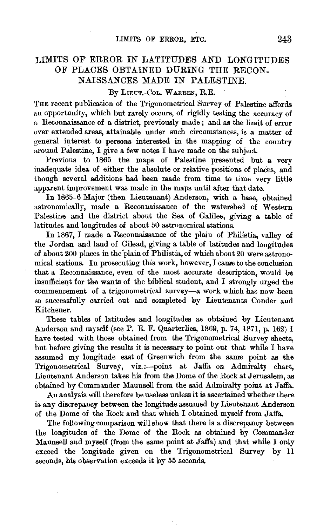## LIMITS OF· ERROR *IN* LATITUDES AND LONGITUDES OF PLACES OBTAINED DURING THE RECON-NAISSANCES MADE IN PALESTINE.

## By LIEUT.-COL. WARREN, R.E.

THE recent publication of the Trigonometrical Survey of Palestine affords an opportunity, which but rarely occurs, of rigidly testing the accuracy of a Reconnaissance of a district, previously made; and as the limit of error over extended areas, attainable under such circumstances, is a matter of general interest to persons interested in the mapping of the country around Palestine, I give a few notes I have made on the subject.

Previous to 1865 the maps of Palestine presented but a very inadequate idea of either the absolute or relative positions of places, and though several additions had been made from time to time very little apparent improvement was made in the maps until after that date.

In 1865-6 Major (then Lieutenant) Anderson, with a base, obtained astronomically, made a Reconnaissance of the watershed of Western Palestine and the district about the Sea of Galilee, giving a table of latitudes and longitudes of about 50 astronomical stations.

In 1867, I made a Reconnaissance of the plain of Philistia, valley of the Jordan and land of Gilead, giving a table of latitudes and longitudes of about 200 places in the "plain of Philistia, of which about 20 were astronomical stations. In prosecuting this work, however, I came to the conclusion that a Reconnaissance, even of the most accurate description, would be insufficient for the wants of the biblical student, and I strongly urged the commencement of a trigonometrical survey-a work which has now been so successfully carried out and completed by Lieutenants Conder and Kitchener.

These tables of latitudes and longitudes as obtained by Lieutenant Anderson and myself (see P. E. F. Quarterlies, 1869, p. 74, 1871, p. 162) I have tested with those obtained from the Trigonometrical Survey sheets, but before giving the results it is necessary to point out that while I have assumed my longitude east of Greenwich from the same point as the Trigonometrical Survey, viz.:---point at Jaffa on Admiralty chart, Lieutenant Anderson takes his from the Dome of the Rock at Jerusalem, as obtained by Commander Maunsell from the said Admiralty point at Jaffa.

An analysis will therefore be useless unless it is ascertained whether there is any discrepancy between the longitude assumed by Lieutenant Anderson of the Dome of the Rock and that which I obtained myself from Jaffa.

The following comparison will show that there is a discrepancy between the longitudes of the Dome of the Rock as obtained by Commander Maunsell and myself (from the same point at Jaffa) and that while I only exceed the longitude given on the Trigonometrical Survey by 11 seconds, his observation exceeds it by 55 seconds.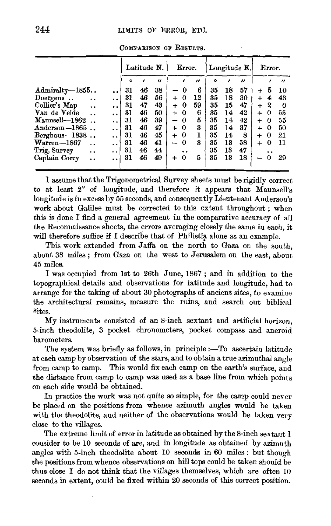|                                   |                      | Latitude N. |    |                   | Error.                   |                      |                   | Longitude E. |    |                       | Error. |   |                   |
|-----------------------------------|----------------------|-------------|----|-------------------|--------------------------|----------------------|-------------------|--------------|----|-----------------------|--------|---|-------------------|
|                                   |                      | $\circ$     | ,  | $^{\prime\prime}$ |                          | ,                    | $^{\prime\prime}$ | $\circ$      | ,  | $\boldsymbol{\prime}$ |        |   | $^{\prime\prime}$ |
| Admiralty-1855                    | $\cdot$              | 31          | 46 | 38                | -                        | 0                    | 6                 | 35           | 18 | 57                    | $\div$ | 5 | 10                |
| Doergens<br>$\ddot{\phantom{0}}$  | $\ddot{\phantom{0}}$ | 31          | 46 | 56                | $\ddot{}$                | 0                    | 12                | 35           | 18 | 30                    | $\div$ | 4 | 43                |
| Collier's Map<br>                 | $\ddot{\phantom{a}}$ | 31          | 47 | 43                | $\ddot{}$                | 0                    | 59                | 35           | 15 | 47                    | $\div$ | 2 | $\Omega$          |
| Van de Velde<br>. .               |                      | 31          | 46 | 50                | +                        | 0                    | 6                 | 35           | 14 | 42                    | 4      | 0 | 55                |
| Maunsell—1862                     | . .                  | 31          | 46 | 39                | -                        | 0                    | Б                 | 35           | 14 | 42                    | 4      | 0 | 55                |
| $Anderson-1865$                   | . .                  | 31          | 46 | 47                | +                        | $\bf{0}$             | 3                 | 35           | 14 | 37                    | 4      | 0 | 50                |
| Berghaus-1838                     | $\ddot{\phantom{0}}$ | 31          | 46 | 45                | $+$                      | 0                    | 1                 | 35           | 14 | 8                     | $\div$ | 0 | 21                |
| $\text{Warren}-1867$<br>. .       | $\ddot{\phantom{0}}$ | 31          | 46 | 41                | $\overline{\phantom{0}}$ | 0                    | 3                 | 35           | 13 | 58                    | $\div$ | 0 | -11               |
| Trig, Survey<br>. .               |                      | 31          | 46 | 44                |                          | $\ddot{\phantom{0}}$ |                   | 35           | 13 | 47                    |        |   |                   |
| Captain Corry<br>$\ddot{\bullet}$ | $\ddot{\phantom{a}}$ | 31          | 46 | 49                | $+$                      | $\bf{0}$             | 5                 | 35           | 13 | 18                    | -      | 0 | 29                |

COMPARISON OF RESULTS.

I assume that the Trigonometrical Survey sheets must be rigidly correct to at least 2" of longitude, and therefore it appears that Maunsell's longitude is in excess by 55 seconds, and consequently Lieutenant Anderson's work about Galilee must be corrected to this extent throughout ; when this is done I find a general agreement in the comparative accuracy of all the Reconnaissance sheets, the errors averaging closely the same in each, it will therefore suffice if I describe that of Philistia alone as an example.

This work extended from Jaffa on the north to Gaza on the south. about 38 miles; from Gaza on the west to Jerusalem on the east, about 45 miles.

I was occupied from 1st to 26th June, 1867; and in addition to the topographical details and observations for latitude and longitude, had to arrange for the taking of about 30 photographs of ancient sites, to examine the architectural remains, measure the ruins, and search out biblical Sites.

My instruments consisted of an 8-inch sextant and artificial horizon, 5-inch theodolite, 3 pocket chronometers, pocket compass and aneroid barometers.

The system was briefly as follows, in principle :- To ascertain latitude at each camp by observation of the stars, and to obtain a true azimuthal angle from camp to camp. This would fix each camp on the earth's surface, and the distance from camp to camp was used as a base line from which points on each side would be obtained.

In practice the work was not quite so simple, for the camp could never be placed on the positions from whence azimuth angles would be taken with the theodolite, and neither of the observations would be taken very close to the villages.

The extreme limit of error in latitude as obtained by the 8-inch sextant I consider to be 10 seconds of arc, and in longitude as obtained by azimuth angles with 5-inch theodolite about 10 seconds in 60 miles : but though the positions from whence observations on hill tops could be taken should be thus close I do not think that the villages themselves, which are often 10 seconds in extent, could be fixed within 20 seconds of this correct position.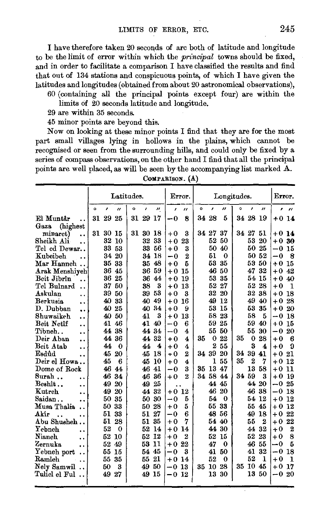I have therefore taken 20 seconds of arc both of latitude and longitude to be the limit of error within which the *principal* towns should be fixed, and in order to facilitate a comparison I have classified the results and find that out of 134 stations and conspicuous points, of which I have given the latitudes and longitudes (obtained from about 20 astronomical observations), 60 (containing all the principal points except four) are within the

- limits of 20 seconds latitude and longitude.
- 29 are within 35 seconds.
- 45 minor points are beyond this.

Now on looking at these minor points I find that they are for the most part small villages lying in hollows in the plains, which cannot be recognised or seen from the surrounding hills, and could only be fixed by a series of compass observations, on the other hand I find that all the principal points are well placed, as will be seen by the accompanying list marked A.

|                                           | Latitudes. |          |                  |         |       |                             |         | Error.             | Longitudes. |           |          |    |                |                   |            | Error.       |  |  |
|-------------------------------------------|------------|----------|------------------|---------|-------|-----------------------------|---------|--------------------|-------------|-----------|----------|----|----------------|-------------------|------------|--------------|--|--|
|                                           | o          | ı        | $\overline{u}$   | $\circ$ | ,     | $\boldsymbol{\prime\prime}$ | ï       | $\prime$           | $\circ$     | $\lambda$ | "        | ۰  | ,              | $^{\prime\prime}$ | $\epsilon$ | $\mathbf{r}$ |  |  |
| El Muntâr<br>. .                          |            | 31 29 25 |                  | 31      | 29    | 17                          | $-0$    | 8                  |             | 34 28     | 5        | 34 | 28             | 19                | $+0.14$    |              |  |  |
| (highest)<br>Gaza                         |            |          |                  |         |       |                             |         |                    |             |           |          |    |                |                   |            |              |  |  |
| minaret)<br>$\ddot{\phantom{a}}$          |            | 31 30    | -15              |         | 31 30 | 18                          | $+0$    | 3                  |             | 34 27     | 37       | 34 | $27\,$         | 51                | +0 14      |              |  |  |
| Sheikh Ali-<br>. .                        |            | 32       | 10               |         | 32    | 33                          | $+0$    | 23                 |             | 52        | 50       |    | 53             | 20                | $+0$       | 30           |  |  |
| Tel ed Dewar                              |            | 33       | 53               |         | 33    | 56                          | $+0$    | 3                  |             | 50        | 40       |    | 50             | 25                | $-0$       | 15           |  |  |
| Kubeibeh<br>                              |            | 34       | 20               |         | 34    | 18                          | $-0$    | $\overline{2}$     |             | 51        | $\bf{0}$ |    | 50             | -52               | -0         | 8            |  |  |
| Mar Hanneh                                |            | 35       | 33               |         | 35    | 48                          | $+0$    | 5                  |             | 53        | 35       |    | 53             | -50               | $+0$       | 15           |  |  |
| Arak Menshiyeh                            |            | 36       | 45               |         | 36    | 59                          | $+0$    | 15                 |             | 46        | -50      |    | 47             | 32                | $+0$       | 42           |  |  |
| Beit Jibrîn                               |            | 36       | 25               |         | 36    | 44                          | $+0$    | 19                 |             | 53        | 35       |    | 54             | 15                | $+0$       | -40          |  |  |
| Tel Bulnard<br>$\ddot{\phantom{0}}$       |            | 37       | 50               |         | 38    | 3                           | $+0$    | 13                 |             | 52        | 27       |    | 52             | 28                | $+0$       | 1            |  |  |
| Askulan<br>. .                            |            | 39       | 50               |         | 39    | 53                          | $+0$    | 3                  |             | 32        | 20       |    | 32             | 38                | $+0$       | -18          |  |  |
| Berkusia<br>$\ddot{\phantom{a}}$          |            | 40       | 33               |         | 40    | 49                          | $+0$    | 16                 |             | 49        | 12       |    | 49             | 40                | $+0$       | 28           |  |  |
| D. Dubban<br>٠.                           |            | 40       | 25               |         | 40    | 34                          | $+0$    | 9                  |             | 53        | 15       |    | 53             | 35                | $+0$       | 20           |  |  |
| Shuwaikeh<br>. .                          |            | 40       | 50               |         | 41    | 3                           | $+0$    | 13                 |             | 58        | 23       |    | 58             | 5                 | $-0$       | 18           |  |  |
| Beit Netîf<br>. .                         |            | 41       | 46               |         | 41    | 40                          | $-0$    | 6                  |             | 59        | 25       |    | 59             | 40                | $+0$       | 15           |  |  |
| Tibneh<br>                                |            | 44       | 38               |         | 44    | 34                          | -0      | $\overline{\bf 4}$ |             | 55        | 50       |    | 55             | 30                | $-0$       | 20           |  |  |
| Deir Aban<br>. .                          |            | 44       | 36               |         | 44    | 32                          | $+0$    | 4                  | 35          | 0         | 22       | 35 | $\bf{0}$       | 28                | $+0$       | 6            |  |  |
| Beit Atab<br>$\ddot{\phantom{a}}$         |            | 44       | $\Omega$         |         | 44    | 4                           | $+0$    | 4                  |             | 2         | 55       |    | 3              | 4                 | $+0$       | 9            |  |  |
| Esdûd<br>$\ddot{\phantom{0}}$             |            | 45       | 20               |         | 45    | 18                          | +0      | $\overline{2}$     | 34          | 39        | 20       | 34 | 39             | 41                | $+0.21$    |              |  |  |
| Deir el Howa                              |            | 45       | 6                |         | 45    | 10                          | $+0$    | 4                  |             | 1         | 55       | 35 | $\overline{2}$ | 7                 | $+0$       | 12           |  |  |
| Dome of Rock                              |            | 46       | 44               |         | 46    | 41                          | -0      | 3                  | 35          | 13        | -47      |    | 13             | 58                | $+0$       | 11           |  |  |
| Surah<br>$\ddot{\phantom{1}}$             |            | 46       | 34               |         | 46    | 36                          | $+0$    | $\overline{2}$     | 34          | 58 44     |          | 34 | 59             | з                 | $+0$       | -19          |  |  |
| $\operatorname{Besh\hat{\mathbf{t}}}$<br> |            | 49       | 20               |         | 49    | 25                          |         |                    |             | 44        | 45       |    | 44             | 20                | $-0$       | -25          |  |  |
| Kutreh<br>$\ddot{\phantom{0}}$            |            | 49       | 20               |         | 44    | 32                          | $+0$    | 12                 |             | 46        | 20       |    | 46             | 38                | $-0$       | 18           |  |  |
| Saidan<br>                                |            | 50       | 35               |         | 50    | 30                          | $-0$    | 5                  |             | 54        | $\Omega$ |    | 54             | 12                | $+0$       | 12           |  |  |
| Musa Thalia<br>. .                        |            | 50       | 33               |         | 50    | 28                          | $+0$    | 5                  |             | 55        | 33       |    | 55             | 45                | $+0.12$    |              |  |  |
| Akîr<br>. .                               |            | 51       | 33               |         | 51    | 27                          | $-0$    | 6                  |             | 48.       | 56       |    | 49             | 18                | $+0.22$    |              |  |  |
| Abu Shusheh                               |            | 51       | 28               |         | 51    | 35                          | $+0$    | 7                  |             | 54 40     |          |    | 55             | $\mathbf{2}$      | $+0$       | 22           |  |  |
| Yebneh<br>. .                             |            | 52       | $\boldsymbol{0}$ |         | 52    | 14                          | $+0$    | 14                 |             | 44        | 30       |    | 44             | 32                | $+0$       | 2            |  |  |
| Nianeh<br>$\ddot{\phantom{0}}$            |            | 52       | 10               |         | 52    | 12                          | $+0$    | $\overline{2}$     |             | 52        | 15       |    | 52             | 23                | $+0$       | 8            |  |  |
| Zernuka<br>                               |            | 52       | 49               |         | 53    | -11                         | $+0$    | 22                 |             | 47        | $\bf{o}$ |    | 46             | 55                | -0         | 5            |  |  |
| Yebneh port<br>. .                        |            | 55       | 15               |         | 54    | 45                          | $-0$    | 3                  |             | 41        | 50       |    | 41             | 32                | $-0$       | 18           |  |  |
| Ramleh                                    |            | 55       | 35               |         | 55.   | 21                          | $+0$    | 14                 |             | 52        | 0        |    | 52             | Л.                | $+0$       | 1            |  |  |
| Nely Samwil                               |            | 50       | 3                |         | 49    | 50                          | $-0$    | 13                 | 35          | 10        | 28       | 35 | 10             | 45                | $+0$       | 17           |  |  |
| Tuliel el Ful                             |            | 49       | 27               |         | 49    | 15                          | $-0.12$ |                    |             | 13        | 30       |    | 13             | 50                | $-0$       | 20           |  |  |
|                                           |            |          |                  |         |       |                             |         |                    |             |           |          |    |                |                   |            |              |  |  |

CoMPARisoN. (A)